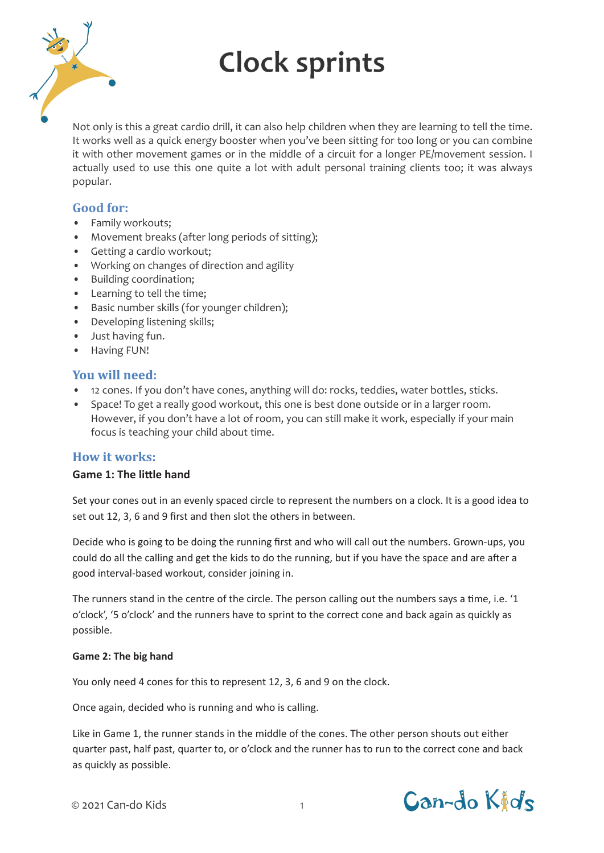

# **Clock sprints**

Not only is this a great cardio drill, it can also help children when they are learning to tell the time. It works well as a quick energy booster when you've been sitting for too long or you can combine it with other movement games or in the middle of a circuit for a longer PE/movement session. I actually used to use this one quite a lot with adult personal training clients too; it was always popular.

### **Good for:**

- Family workouts;
- Movement breaks (after long periods of sitting);
- Getting a cardio workout;
- Working on changes of direction and agility
- Building coordination;
- Learning to tell the time;
- Basic number skills (for younger children);
- Developing listening skills;
- Just having fun.
- Having FUN!

#### **You will need:**

- 12 cones. If you don't have cones, anything will do: rocks, teddies, water bottles, sticks.
- Space! To get a really good workout, this one is best done outside or in a larger room. However, if you don't have a lot of room, you can still make it work, especially if your main focus is teaching your child about time.

#### **How it works:**

#### **Game 1: The little hand**

Set your cones out in an evenly spaced circle to represent the numbers on a clock. It is a good idea to set out 12, 3, 6 and 9 first and then slot the others in between.

Decide who is going to be doing the running first and who will call out the numbers. Grown-ups, you could do all the calling and get the kids to do the running, but if you have the space and are after a good interval-based workout, consider joining in.

The runners stand in the centre of the circle. The person calling out the numbers says a time, i.e. '1 o'clock', '5 o'clock' and the runners have to sprint to the correct cone and back again as quickly as possible.

#### **Game 2: The big hand**

You only need 4 cones for this to represent 12, 3, 6 and 9 on the clock.

Once again, decided who is running and who is calling.

Like in Game 1, the runner stands in the middle of the cones. The other person shouts out either quarter past, half past, quarter to, or o'clock and the runner has to run to the correct cone and back as quickly as possible.